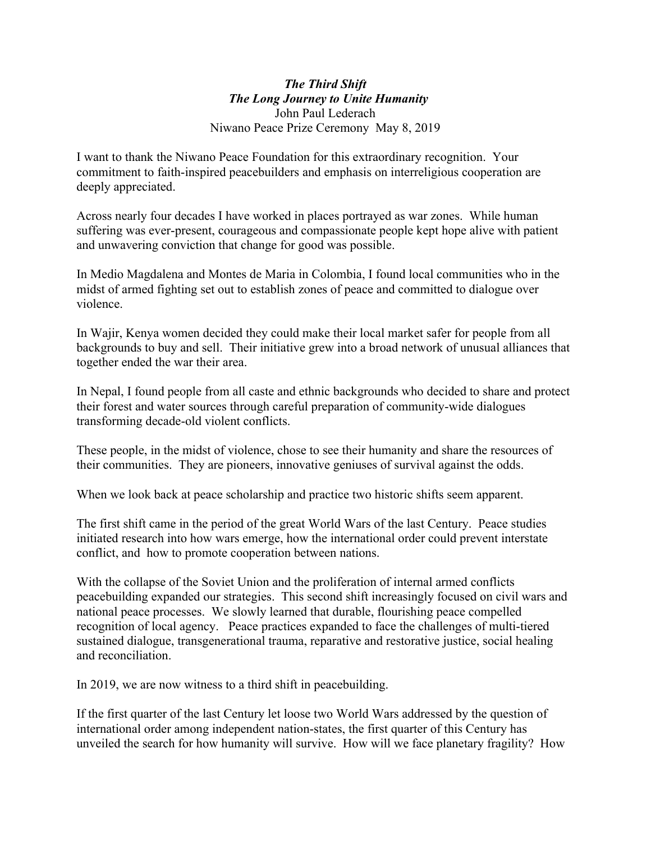### *The Third Shift The Long Journey to Unite Humanity*  John Paul Lederach Niwano Peace Prize Ceremony May 8, 2019

I want to thank the Niwano Peace Foundation for this extraordinary recognition. Your commitment to faith-inspired peacebuilders and emphasis on interreligious cooperation are deeply appreciated.

Across nearly four decades I have worked in places portrayed as war zones. While human suffering was ever-present, courageous and compassionate people kept hope alive with patient and unwavering conviction that change for good was possible.

In Medio Magdalena and Montes de Maria in Colombia, I found local communities who in the midst of armed fighting set out to establish zones of peace and committed to dialogue over violence.

In Wajir, Kenya women decided they could make their local market safer for people from all backgrounds to buy and sell. Their initiative grew into a broad network of unusual alliances that together ended the war their area.

In Nepal, I found people from all caste and ethnic backgrounds who decided to share and protect their forest and water sources through careful preparation of community-wide dialogues transforming decade-old violent conflicts.

These people, in the midst of violence, chose to see their humanity and share the resources of their communities. They are pioneers, innovative geniuses of survival against the odds.

When we look back at peace scholarship and practice two historic shifts seem apparent.

The first shift came in the period of the great World Wars of the last Century. Peace studies initiated research into how wars emerge, how the international order could prevent interstate conflict, and how to promote cooperation between nations.

With the collapse of the Soviet Union and the proliferation of internal armed conflicts peacebuilding expanded our strategies. This second shift increasingly focused on civil wars and national peace processes. We slowly learned that durable, flourishing peace compelled recognition of local agency. Peace practices expanded to face the challenges of multi-tiered sustained dialogue, transgenerational trauma, reparative and restorative justice, social healing and reconciliation.

In 2019, we are now witness to a third shift in peacebuilding.

If the first quarter of the last Century let loose two World Wars addressed by the question of international order among independent nation-states, the first quarter of this Century has unveiled the search for how humanity will survive. How will we face planetary fragility? How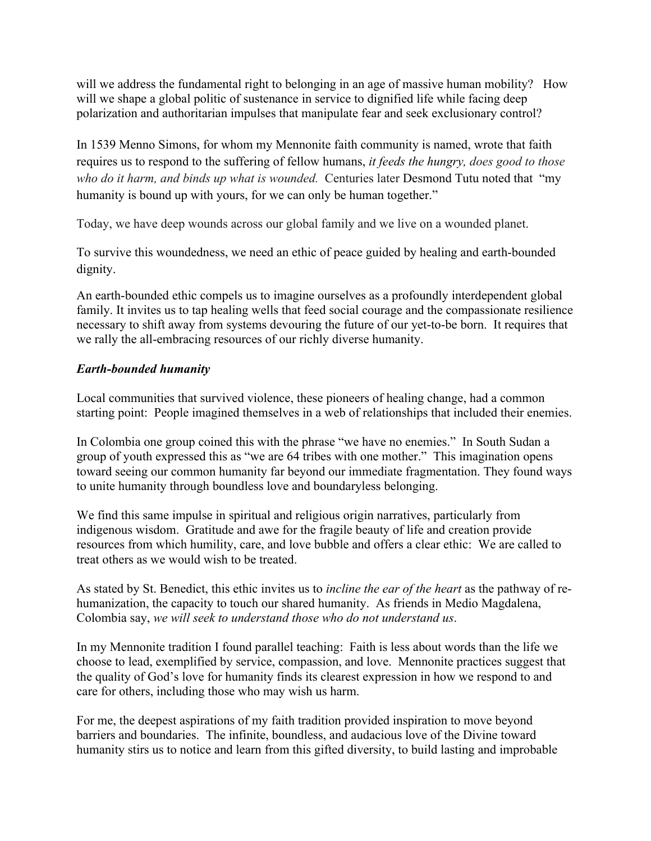will we address the fundamental right to belonging in an age of massive human mobility? How will we shape a global politic of sustenance in service to dignified life while facing deep polarization and authoritarian impulses that manipulate fear and seek exclusionary control?

In 1539 Menno Simons, for whom my Mennonite faith community is named, wrote that faith requires us to respond to the suffering of fellow humans, *it feeds the hungry, does good to those who do it harm, and binds up what is wounded.* Centuries later Desmond Tutu noted that "my humanity is bound up with yours, for we can only be human together."

Today, we have deep wounds across our global family and we live on a wounded planet.

To survive this woundedness, we need an ethic of peace guided by healing and earth-bounded dignity.

An earth-bounded ethic compels us to imagine ourselves as a profoundly interdependent global family. It invites us to tap healing wells that feed social courage and the compassionate resilience necessary to shift away from systems devouring the future of our yet-to-be born. It requires that we rally the all-embracing resources of our richly diverse humanity.

# *Earth-bounded humanity*

Local communities that survived violence, these pioneers of healing change, had a common starting point: People imagined themselves in a web of relationships that included their enemies.

In Colombia one group coined this with the phrase "we have no enemies." In South Sudan a group of youth expressed this as "we are 64 tribes with one mother." This imagination opens toward seeing our common humanity far beyond our immediate fragmentation. They found ways to unite humanity through boundless love and boundaryless belonging.

We find this same impulse in spiritual and religious origin narratives, particularly from indigenous wisdom. Gratitude and awe for the fragile beauty of life and creation provide resources from which humility, care, and love bubble and offers a clear ethic: We are called to treat others as we would wish to be treated.

As stated by St. Benedict, this ethic invites us to *incline the ear of the heart* as the pathway of rehumanization, the capacity to touch our shared humanity. As friends in Medio Magdalena, Colombia say, *we will seek to understand those who do not understand us*.

In my Mennonite tradition I found parallel teaching: Faith is less about words than the life we choose to lead, exemplified by service, compassion, and love. Mennonite practices suggest that the quality of God's love for humanity finds its clearest expression in how we respond to and care for others, including those who may wish us harm.

For me, the deepest aspirations of my faith tradition provided inspiration to move beyond barriers and boundaries. The infinite, boundless, and audacious love of the Divine toward humanity stirs us to notice and learn from this gifted diversity, to build lasting and improbable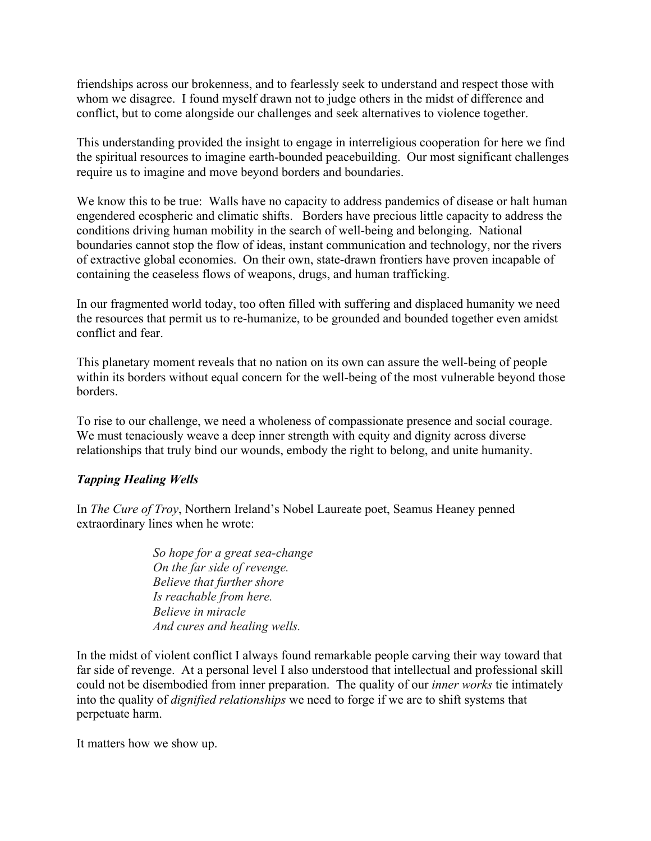friendships across our brokenness, and to fearlessly seek to understand and respect those with whom we disagree. I found myself drawn not to judge others in the midst of difference and conflict, but to come alongside our challenges and seek alternatives to violence together.

This understanding provided the insight to engage in interreligious cooperation for here we find the spiritual resources to imagine earth-bounded peacebuilding. Our most significant challenges require us to imagine and move beyond borders and boundaries.

We know this to be true: Walls have no capacity to address pandemics of disease or halt human engendered ecospheric and climatic shifts. Borders have precious little capacity to address the conditions driving human mobility in the search of well-being and belonging. National boundaries cannot stop the flow of ideas, instant communication and technology, nor the rivers of extractive global economies. On their own, state-drawn frontiers have proven incapable of containing the ceaseless flows of weapons, drugs, and human trafficking.

In our fragmented world today, too often filled with suffering and displaced humanity we need the resources that permit us to re-humanize, to be grounded and bounded together even amidst conflict and fear.

This planetary moment reveals that no nation on its own can assure the well-being of people within its borders without equal concern for the well-being of the most vulnerable beyond those borders.

To rise to our challenge, we need a wholeness of compassionate presence and social courage. We must tenaciously weave a deep inner strength with equity and dignity across diverse relationships that truly bind our wounds, embody the right to belong, and unite humanity.

# *Tapping Healing Wells*

In *The Cure of Troy*, Northern Ireland's Nobel Laureate poet, Seamus Heaney penned extraordinary lines when he wrote:

> *So hope for a great sea-change On the far side of revenge. Believe that further shore Is reachable from here. Believe in miracle And cures and healing wells.*

In the midst of violent conflict I always found remarkable people carving their way toward that far side of revenge. At a personal level I also understood that intellectual and professional skill could not be disembodied from inner preparation. The quality of our *inner works* tie intimately into the quality of *dignified relationships* we need to forge if we are to shift systems that perpetuate harm.

It matters how we show up.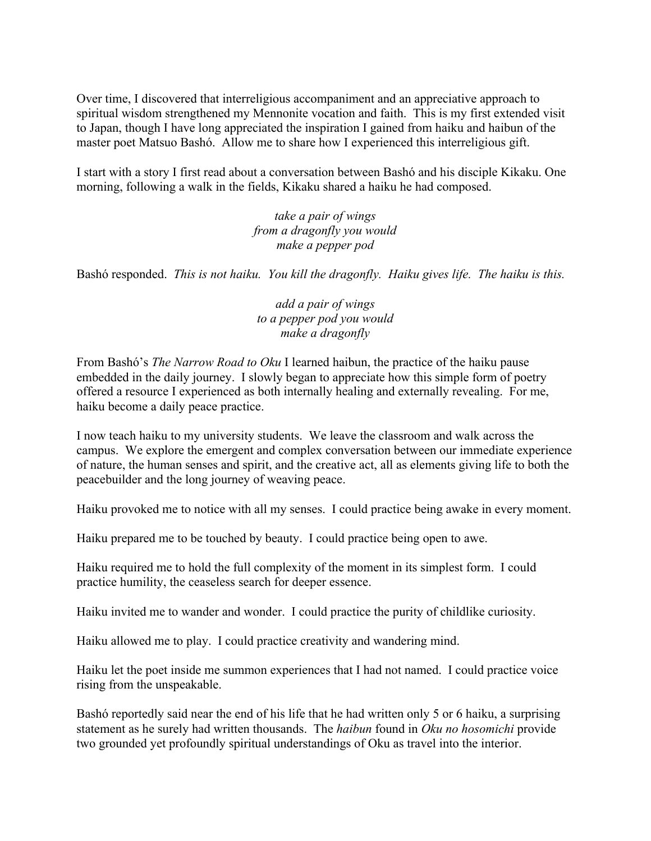Over time, I discovered that interreligious accompaniment and an appreciative approach to spiritual wisdom strengthened my Mennonite vocation and faith. This is my first extended visit to Japan, though I have long appreciated the inspiration I gained from haiku and haibun of the master poet Matsuo Bashó. Allow me to share how I experienced this interreligious gift.

I start with a story I first read about a conversation between Bashó and his disciple Kikaku. One morning, following a walk in the fields, Kikaku shared a haiku he had composed.

> *take a pair of wings from a dragonfly you would make a pepper pod*

Bashó responded. *This is not haiku. You kill the dragonfly. Haiku gives life. The haiku is this.*

*add a pair of wings to a pepper pod you would make a dragonfly*

From Bashó's *The Narrow Road to Oku* I learned haibun, the practice of the haiku pause embedded in the daily journey. I slowly began to appreciate how this simple form of poetry offered a resource I experienced as both internally healing and externally revealing. For me, haiku become a daily peace practice.

I now teach haiku to my university students. We leave the classroom and walk across the campus. We explore the emergent and complex conversation between our immediate experience of nature, the human senses and spirit, and the creative act, all as elements giving life to both the peacebuilder and the long journey of weaving peace.

Haiku provoked me to notice with all my senses. I could practice being awake in every moment.

Haiku prepared me to be touched by beauty. I could practice being open to awe.

Haiku required me to hold the full complexity of the moment in its simplest form. I could practice humility, the ceaseless search for deeper essence.

Haiku invited me to wander and wonder. I could practice the purity of childlike curiosity.

Haiku allowed me to play. I could practice creativity and wandering mind.

Haiku let the poet inside me summon experiences that I had not named. I could practice voice rising from the unspeakable.

Bashó reportedly said near the end of his life that he had written only 5 or 6 haiku, a surprising statement as he surely had written thousands. The *haibun* found in *Oku no hosomichi* provide two grounded yet profoundly spiritual understandings of Oku as travel into the interior.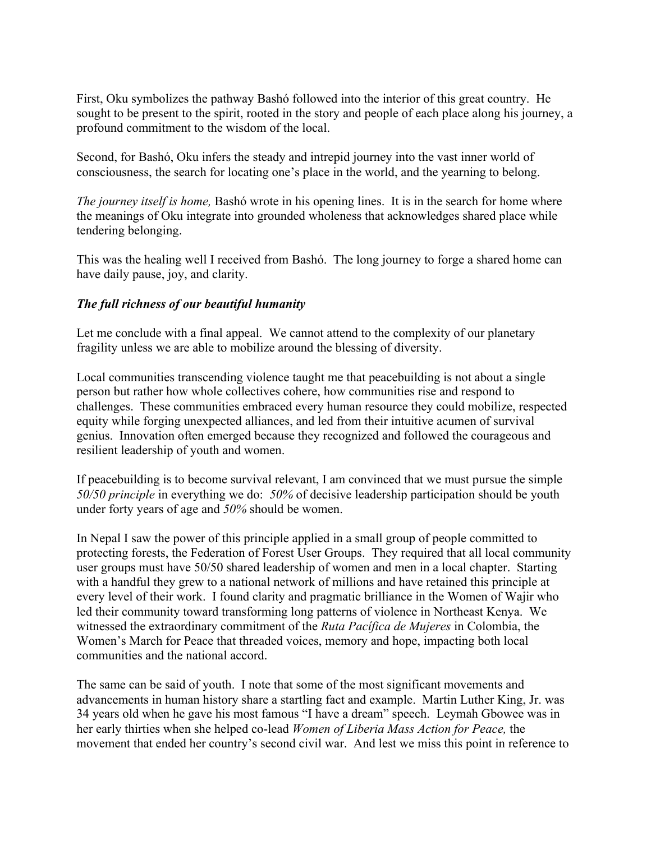First, Oku symbolizes the pathway Bashó followed into the interior of this great country. He sought to be present to the spirit, rooted in the story and people of each place along his journey, a profound commitment to the wisdom of the local.

Second, for Bashó, Oku infers the steady and intrepid journey into the vast inner world of consciousness, the search for locating one's place in the world, and the yearning to belong.

*The journey itself is home,* Bashó wrote in his opening lines. It is in the search for home where the meanings of Oku integrate into grounded wholeness that acknowledges shared place while tendering belonging.

This was the healing well I received from Bashó. The long journey to forge a shared home can have daily pause, joy, and clarity.

### *The full richness of our beautiful humanity*

Let me conclude with a final appeal. We cannot attend to the complexity of our planetary fragility unless we are able to mobilize around the blessing of diversity.

Local communities transcending violence taught me that peacebuilding is not about a single person but rather how whole collectives cohere, how communities rise and respond to challenges. These communities embraced every human resource they could mobilize, respected equity while forging unexpected alliances, and led from their intuitive acumen of survival genius. Innovation often emerged because they recognized and followed the courageous and resilient leadership of youth and women.

If peacebuilding is to become survival relevant, I am convinced that we must pursue the simple *50/50 principle* in everything we do: *50%* of decisive leadership participation should be youth under forty years of age and *50%* should be women.

In Nepal I saw the power of this principle applied in a small group of people committed to protecting forests, the Federation of Forest User Groups. They required that all local community user groups must have 50/50 shared leadership of women and men in a local chapter. Starting with a handful they grew to a national network of millions and have retained this principle at every level of their work. I found clarity and pragmatic brilliance in the Women of Wajir who led their community toward transforming long patterns of violence in Northeast Kenya. We witnessed the extraordinary commitment of the *Ruta Pacífica de Mujeres* in Colombia, the Women's March for Peace that threaded voices, memory and hope, impacting both local communities and the national accord.

The same can be said of youth. I note that some of the most significant movements and advancements in human history share a startling fact and example. Martin Luther King, Jr. was 34 years old when he gave his most famous "I have a dream" speech. Leymah Gbowee was in her early thirties when she helped co-lead *Women of Liberia Mass Action for Peace,* the movement that ended her country's second civil war. And lest we miss this point in reference to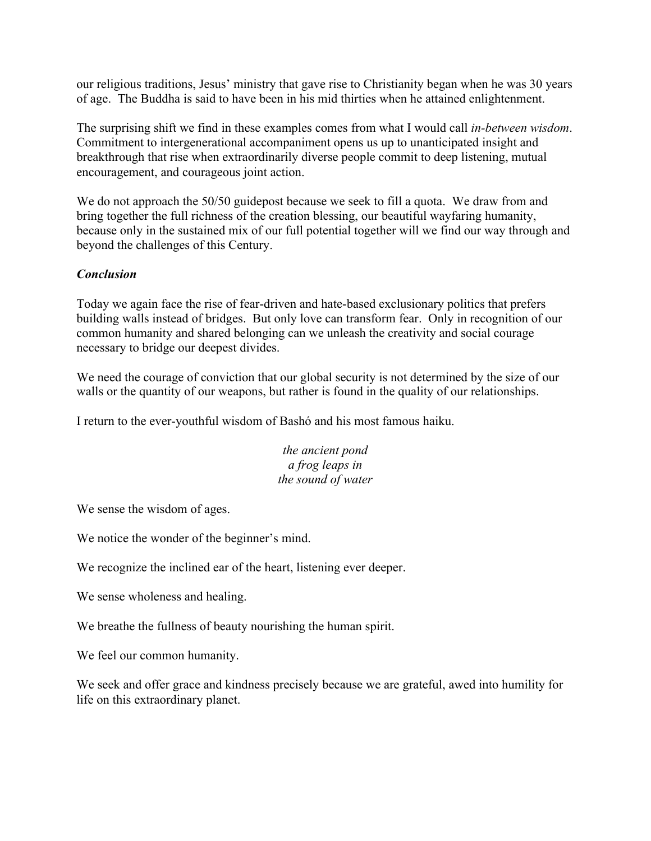our religious traditions, Jesus' ministry that gave rise to Christianity began when he was 30 years of age. The Buddha is said to have been in his mid thirties when he attained enlightenment.

The surprising shift we find in these examples comes from what I would call *in-between wisdom*. Commitment to intergenerational accompaniment opens us up to unanticipated insight and breakthrough that rise when extraordinarily diverse people commit to deep listening, mutual encouragement, and courageous joint action.

We do not approach the 50/50 guidepost because we seek to fill a quota. We draw from and bring together the full richness of the creation blessing, our beautiful wayfaring humanity, because only in the sustained mix of our full potential together will we find our way through and beyond the challenges of this Century.

# *Conclusion*

Today we again face the rise of fear-driven and hate-based exclusionary politics that prefers building walls instead of bridges. But only love can transform fear. Only in recognition of our common humanity and shared belonging can we unleash the creativity and social courage necessary to bridge our deepest divides.

We need the courage of conviction that our global security is not determined by the size of our walls or the quantity of our weapons, but rather is found in the quality of our relationships.

I return to the ever-youthful wisdom of Bashó and his most famous haiku.

*the ancient pond a frog leaps in the sound of water*

We sense the wisdom of ages.

We notice the wonder of the beginner's mind.

We recognize the inclined ear of the heart, listening ever deeper.

We sense wholeness and healing.

We breathe the fullness of beauty nourishing the human spirit.

We feel our common humanity.

We seek and offer grace and kindness precisely because we are grateful, awed into humility for life on this extraordinary planet.